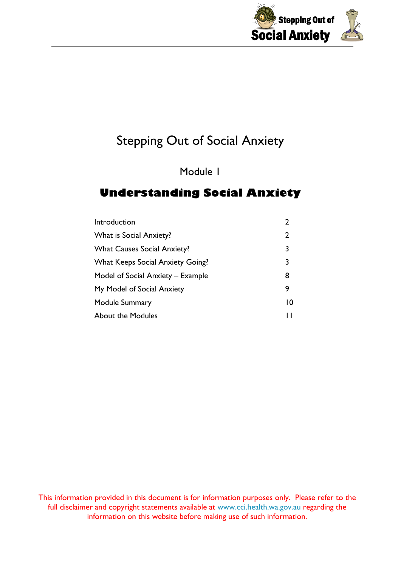

Module 1

### **Understanding Social Anxiety**

| Introduction                            |                |
|-----------------------------------------|----------------|
| <b>What is Social Anxiety?</b>          | 2              |
| <b>What Causes Social Anxiety?</b>      | 3              |
| <b>What Keeps Social Anxiety Going?</b> | 3              |
| Model of Social Anxiety – Example       | 8              |
| My Model of Social Anxiety              | 9              |
| Module Summary                          | $\overline{0}$ |
| <b>About the Modules</b>                | П              |

This information provided in this document is for information purposes only. Please refer to the full disclaimer and copyright statements available at [www.cci.health.wa.gov.au](http://www.cci.health.wa.gov.au/) regarding the information on this website before making use of such information.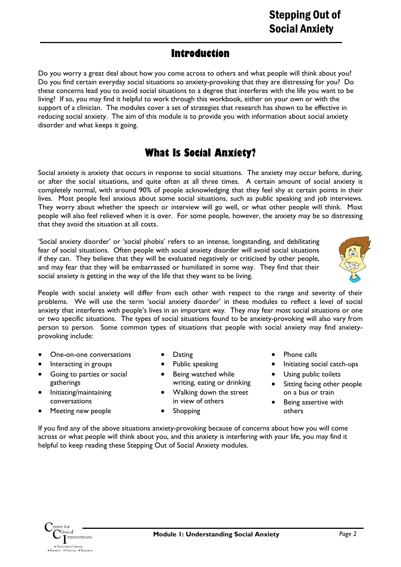### **Introduction**

Do you worry a great deal about how you come across to others and what people will think about you? Do you find certain everyday social situations so anxiety-provoking that they are distressing for you? Do these concerns lead you to avoid social situations to a degree that interferes with the life you want to be living? If so, you may find it helpful to work through this workbook, either on your own or with the support of a clinician. The modules cover a set of strategies that research has shown to be effective in reducing social anxiety. The aim of this module is to provide you with information about social anxiety disorder and what keeps it going.

## **What Is Social Anxiety?**

Social anxiety is anxiety that occurs in response to social situations. The anxiety may occur before, during, or after the social situations, and quite often at all three times. A certain amount of social anxiety is completely normal, with around 90% of people acknowledging that they feel shy at certain points in their lives. Most people feel anxious about some social situations, such as public speaking and job interviews. They worry about whether the speech or interview will go well, or what other people will think. Most people will also feel relieved when it is over. For some people, however, the anxiety may be so distressing that they avoid the situation at all costs.

'Social anxiety disorder' or 'social phobia' refers to an intense, longstanding, and debilitating fear of social situations. Often people with social anxiety disorder will avoid social situations if they can. They believe that they will be evaluated negatively or criticised by other people, and may fear that they will be embarrassed or humiliated in some way. They find that their social anxiety is getting in the way of the life that they want to be living.



People with social anxiety will differ from each other with respect to the range and severity of their problems. We will use the term 'social anxiety disorder' in these modules to reflect a level of social anxiety that interferes with people's lives in an important way. They may fear most social situations or one or two specific situations. The types of social situations found to be anxiety-provoking will also vary from person to person. Some common types of situations that people with social anxiety may find anxietyprovoking include:

- One-on-one conversations
- Interacting in groups
- Going to parties or social gatherings
- Initiating/maintaining conversations
- Meeting new people
- Dating
- Public speaking Being watched while
- writing, eating or drinking • Walking down the street
- in view of others
- **Shopping**
- Phone calls
- Initiating social catch-ups
- Using public toilets
- Sitting facing other people on a bus or train
- Being assertive with others

If you find any of the above situations anxiety-provoking because of concerns about how you will come across or what people will think about you, and this anxiety is interfering with your life, you may find it helpful to keep reading these Stepping Out of Social Anxiety modules.

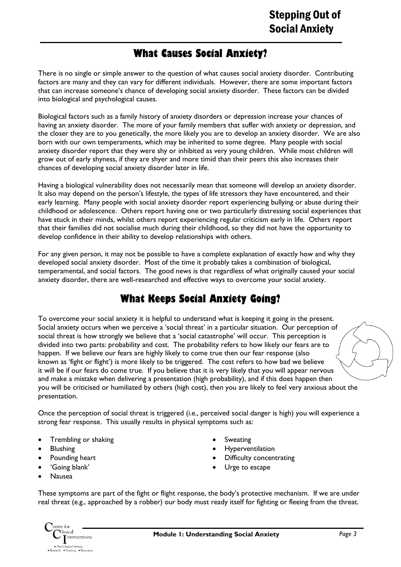### **What Causes Social Anxiety?**

There is no single or simple answer to the question of what causes social anxiety disorder. Contributing factors are many and they can vary for different individuals. However, there are some important factors that can increase someone's chance of developing social anxiety disorder. These factors can be divided into biological and psychological causes.

Biological factors such as a family history of anxiety disorders or depression increase your chances of having an anxiety disorder. The more of your family members that suffer with anxiety or depression, and the closer they are to you genetically, the more likely you are to develop an anxiety disorder. We are also born with our own temperaments, which may be inherited to some degree. Many people with social anxiety disorder report that they were shy or inhibited as very young children. While most children will grow out of early shyness, if they are shyer and more timid than their peers this also increases their chances of developing social anxiety disorder later in life.

Having a biological vulnerability does not necessarily mean that someone will develop an anxiety disorder. It also may depend on the person's lifestyle, the types of life stressors they have encountered, and their early learning. Many people with social anxiety disorder report experiencing bullying or abuse during their childhood or adolescence. Others report having one or two particularly distressing social experiences that have stuck in their minds, whilst others report experiencing regular criticism early in life. Others report that their families did not socialise much during their childhood, so they did not have the opportunity to develop confidence in their ability to develop relationships with others.

For any given person, it may not be possible to have a complete explanation of exactly how and why they developed social anxiety disorder. Most of the time it probably takes a combination of biological, temperamental, and social factors. The good news is that regardless of what originally caused your social anxiety disorder, there are well-researched and effective ways to overcome your social anxiety.

### **What Keeps Social Anxiety Going?**

To overcome your social anxiety it is helpful to understand what is keeping it going in the present. Social anxiety occurs when we perceive a 'social threat' in a particular situation. Our perception of social threat is how strongly we believe that a 'social catastrophe' will occur. This perception is divided into two parts: probability and cost. The probability refers to how likely our fears are to happen. If we believe our fears are highly likely to come true then our fear response (also known as 'fight or flight') is more likely to be triggered. The cost refers to how bad we believe it will be if our fears do come true. If you believe that it is very likely that you will appear nervous and make a mistake when delivering a presentation (high probability), and if this does happen then you will be criticised or humiliated by others (high cost), then you are likely to feel very anxious about the presentation.

Once the perception of social threat is triggered (i.e., perceived social danger is high) you will experience a strong fear response. This usually results in physical symptoms such as:

- Trembling or shaking
- Blushing
- Pounding heart
- 'Going blank'
- Nausea
- **Sweating**
- **Hyperventilation**
- Difficulty concentrating
- Urge to escape

These symptoms are part of the fight or flight response, the body's protective mechanism. If we are under real threat (e.g., approached by a robber) our body must ready itself for fighting or fleeing from the threat.

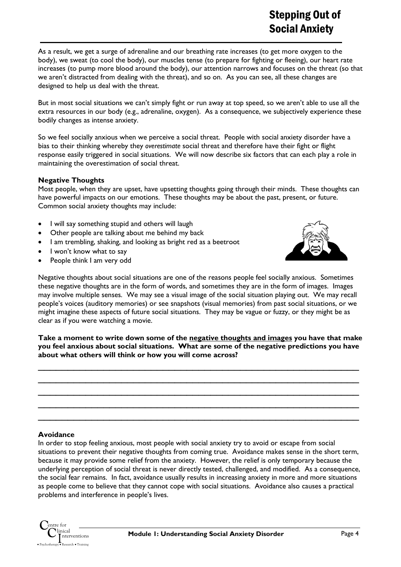As a result, we get a surge of adrenaline and our breathing rate increases (to get more oxygen to the body), we sweat (to cool the body), our muscles tense (to prepare for fighting or fleeing), our heart rate increases (to pump more blood around the body), our attention narrows and focuses on the threat (so that we aren't distracted from dealing with the threat), and so on. As you can see, all these changes are designed to help us deal with the threat.

But in most social situations we can't simply fight or run away at top speed, so we aren't able to use all the extra resources in our body (e.g., adrenaline, oxygen). As a consequence, we subjectively experience these bodily changes as intense anxiety.

So we feel socially anxious when we perceive a social threat. People with social anxiety disorder have a bias to their thinking whereby they *overestimate* social threat and therefore have their fight or flight response easily triggered in social situations. We will now describe six factors that can each play a role in maintaining the overestimation of social threat.

#### **Negative Thoughts**

Most people, when they are upset, have upsetting thoughts going through their minds. These thoughts can have powerful impacts on our emotions. These thoughts may be about the past, present, or future. Common social anxiety thoughts may include:

- I will say something stupid and others will laugh
- Other people are talking about me behind my back
- I am trembling, shaking, and looking as bright red as a beetroot
- I won't know what to say
- People think I am very odd



Negative thoughts about social situations are one of the reasons people feel socially anxious. Sometimes these negative thoughts are in the form of words, and sometimes they are in the form of images. Images may involve multiple senses. We may see a visual image of the social situation playing out. We may recall people's voices (auditory memories) or see snapshots (visual memories) from past social situations, or we might imagine these aspects of future social situations. They may be vague or fuzzy, or they might be as clear as if you were watching a movie.

**Take a moment to write down some of the negative thoughts and images you have that make you feel anxious about social situations. What are some of the negative predictions you have about what others will think or how you will come across?** 

 $\_$  , and the contribution of the contribution of  $\mathcal{L}_\mathcal{A}$  , and the contribution of  $\mathcal{L}_\mathcal{A}$  , and the contribution of  $\mathcal{L}_\mathcal{A}$  $\overline{\phantom{a}}$  , and the contribution of the contribution of the contribution of the contribution of the contribution of the contribution of the contribution of the contribution of the contribution of the contribution of the  $\_$  , and the set of the set of the set of the set of the set of the set of the set of the set of the set of the set of the set of the set of the set of the set of the set of the set of the set of the set of the set of th  $\overline{\phantom{a}}$  , and the contribution of the contribution of the contribution of the contribution of the contribution of the contribution of the contribution of the contribution of the contribution of the contribution of the  $\_$  , and the contribution of the contribution of  $\mathcal{L}_\mathcal{A}$  , and the contribution of  $\mathcal{L}_\mathcal{A}$  , and the contribution of  $\mathcal{L}_\mathcal{A}$ 

#### **Avoidance**

In order to stop feeling anxious, most people with social anxiety try to avoid or escape from social situations to prevent their negative thoughts from coming true. Avoidance makes sense in the short term, because it may provide some relief from the anxiety. However, the relief is only temporary because the underlying perception of social threat is never directly tested, challenged, and modified. As a consequence, the social fear remains. In fact, avoidance usually results in increasing anxiety in more and more situations as people come to believe that they cannot cope with social situations. Avoidance also causes a practical problems and interference in people's lives.

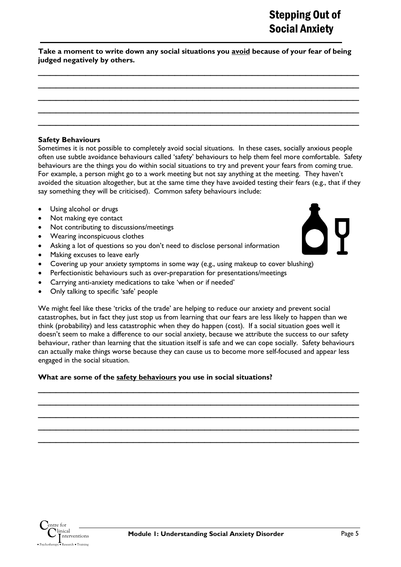**Take a moment to write down any social situations you avoid because of your fear of being judged negatively by others.** 

 $\overline{\phantom{a}}$  , and the contribution of the contribution of the contribution of the contribution of the contribution of the contribution of the contribution of the contribution of the contribution of the contribution of the  $\overline{\phantom{a}}$  , and the contribution of the contribution of the contribution of the contribution of the contribution of the contribution of the contribution of the contribution of the contribution of the contribution of the  $\overline{\phantom{a}}$  , and the contribution of the contribution of the contribution of the contribution of the contribution of the contribution of the contribution of the contribution of the contribution of the contribution of the  $\_$  , and the contribution of the contribution of  $\mathcal{L}_\mathcal{A}$  , and the contribution of  $\mathcal{L}_\mathcal{A}$  , and the contribution of  $\mathcal{L}_\mathcal{A}$  $\overline{\phantom{a}}$  , and the contribution of the contribution of the contribution of the contribution of the contribution of the contribution of the contribution of the contribution of the contribution of the contribution of the

#### **Safety Behaviours**

Sometimes it is not possible to completely avoid social situations. In these cases, socially anxious people often use subtle avoidance behaviours called 'safety' behaviours to help them feel more comfortable. Safety behaviours are the things you do within social situations to try and prevent your fears from coming true. For example, a person might go to a work meeting but not say anything at the meeting. They haven't avoided the situation altogether, but at the same time they have avoided testing their fears (e.g., that if they say something they will be criticised). Common safety behaviours include:

- Using alcohol or drugs
- Not making eye contact
- Not contributing to discussions/meetings
- Wearing inconspicuous clothes
- Asking a lot of questions so you don't need to disclose personal information
- Making excuses to leave early
- Covering up your anxiety symptoms in some way (e.g., using makeup to cover blushing)
- Perfectionistic behaviours such as over-preparation for presentations/meetings
- Carrying anti-anxiety medications to take 'when or if needed'
- Only talking to specific 'safe' people

We might feel like these 'tricks of the trade' are helping to reduce our anxiety and prevent social catastrophes, but in fact they just stop us from learning that our fears are less likely to happen than we think (probability) and less catastrophic when they do happen (cost). If a social situation goes well it doesn't seem to make a difference to our social anxiety, because we attribute the success to our safety behaviour, rather than learning that the situation itself is safe and we can cope socially. Safety behaviours can actually make things worse because they can cause us to become more self-focused and appear less engaged in the social situation.

 $\overline{\phantom{a}}$  , and the contribution of the contribution of the contribution of the contribution of the contribution of the contribution of the contribution of the contribution of the contribution of the contribution of the  $\_$  , and the contribution of the contribution of  $\mathcal{L}_\mathcal{A}$  , and the contribution of  $\mathcal{L}_\mathcal{A}$  , and the contribution of  $\mathcal{L}_\mathcal{A}$  $\overline{\phantom{a}}$  , and the contribution of the contribution of the contribution of the contribution of the contribution of the contribution of the contribution of the contribution of the contribution of the contribution of the  $\_$  , and the set of the set of the set of the set of the set of the set of the set of the set of the set of the set of the set of the set of the set of the set of the set of the set of the set of the set of the set of th  $\overline{\phantom{a}}$  , and the contribution of the contribution of the contribution of the contribution of the contribution of the contribution of the contribution of the contribution of the contribution of the contribution of the

#### **What are some of the safety behaviours you use in social situations?**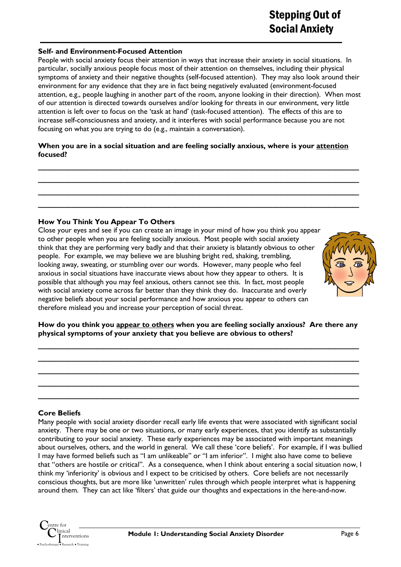#### **Self- and Environment-Focused Attention**

People with social anxiety focus their attention in ways that increase their anxiety in social situations. In particular, socially anxious people focus most of their attention on themselves, including their physical symptoms of anxiety and their negative thoughts (self-focused attention). They may also look around their environment for any evidence that they are in fact being negatively evaluated (environment-focused attention, e.g., people laughing in another part of the room, anyone looking in their direction). When most of our attention is directed towards ourselves and/or looking for threats in our environment, very little attention is left over to focus on the 'task at hand' (task-focused attention). The effects of this are to increase self-consciousness and anxiety, and it interferes with social performance because you are not focusing on what you are trying to do (e.g., maintain a conversation).

#### **When you are in a social situation and are feeling socially anxious, where is your attention focused?**

 $\_$  , and the contribution of the contribution of  $\mathcal{L}_\mathcal{A}$  , and the contribution of  $\mathcal{L}_\mathcal{A}$  , and the contribution of  $\mathcal{L}_\mathcal{A}$  $\overline{\phantom{a}}$  , and the contribution of the contribution of the contribution of the contribution of the contribution of the contribution of the contribution of the contribution of the contribution of the contribution of the  $\_$  , and the set of the set of the set of the set of the set of the set of the set of the set of the set of the set of the set of the set of the set of the set of the set of the set of the set of the set of the set of th  $\overline{\phantom{a}}$  , and the contribution of the contribution of the contribution of the contribution of the contribution of the contribution of the contribution of the contribution of the contribution of the contribution of the

#### **How You Think You Appear To Others**

Close your eyes and see if you can create an image in your mind of how you think you appear to other people when you are feeling socially anxious. Most people with social anxiety think that they are performing very badly and that their anxiety is blatantly obvious to other people. For example, we may believe we are blushing bright red, shaking, trembling, looking away, sweating, or stumbling over our words. However, many people who feel anxious in social situations have inaccurate views about how they appear to others. It is possible that although you may feel anxious, others cannot see this. In fact, most people with social anxiety come across far better than they think they do. Inaccurate and overly negative beliefs about your social performance and how anxious you appear to others can therefore mislead you and increase your perception of social threat.



**How do you think you appear to others when you are feeling socially anxious? Are there any physical symptoms of your anxiety that you believe are obvious to others?** 

 $\overline{\phantom{a}}$  , and the contribution of the contribution of the contribution of the contribution of the contribution of the contribution of the contribution of the contribution of the contribution of the contribution of the  $\_$  , and the contribution of the contribution of  $\mathcal{L}_\mathcal{A}$  , and the contribution of  $\mathcal{L}_\mathcal{A}$  , and the contribution of  $\mathcal{L}_\mathcal{A}$  $\overline{\phantom{a}}$  , and the contribution of the contribution of the contribution of the contribution of the contribution of the contribution of the contribution of the contribution of the contribution of the contribution of the  $\_$  , and the contribution of the contribution of  $\mathcal{L}_\mathcal{A}$  , and the contribution of  $\mathcal{L}_\mathcal{A}$  , and the contribution of  $\mathcal{L}_\mathcal{A}$  $\overline{\phantom{a}}$  , and the contribution of the contribution of the contribution of the contribution of the contribution of the contribution of the contribution of the contribution of the contribution of the contribution of the

#### **Core Beliefs**

Many people with social anxiety disorder recall early life events that were associated with significant social anxiety. There may be one or two situations, or many early experiences, that you identify as substantially contributing to your social anxiety. These early experiences may be associated with important meanings about ourselves, others, and the world in general. We call these 'core beliefs'. For example, if I was bullied I may have formed beliefs such as "I am unlikeable" or "I am inferior". I might also have come to believe that "others are hostile or critical". As a consequence, when I think about entering a social situation now, I think my 'inferiority' is obvious and I expect to be criticised by others. Core beliefs are not necessarily conscious thoughts, but are more like 'unwritten' rules through which people interpret what is happening around them. They can act like 'filters' that guide our thoughts and expectations in the here-and-now.

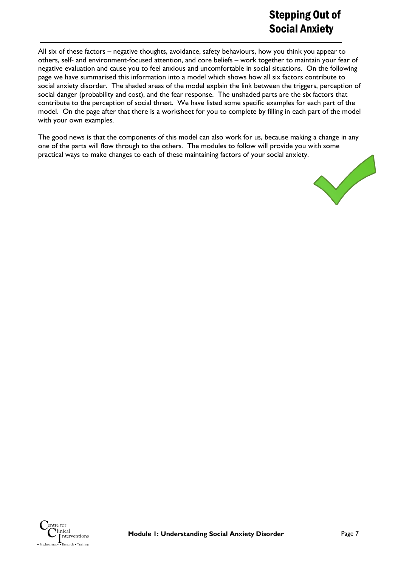All six of these factors – negative thoughts, avoidance, safety behaviours, how you think you appear to others, self- and environment-focused attention, and core beliefs – work together to maintain your fear of negative evaluation and cause you to feel anxious and uncomfortable in social situations. On the following page we have summarised this information into a model which shows how all six factors contribute to social anxiety disorder. The shaded areas of the model explain the link between the triggers, perception of social danger (probability and cost), and the fear response. The unshaded parts are the six factors that contribute to the perception of social threat. We have listed some specific examples for each part of the model. On the page after that there is a worksheet for you to complete by filling in each part of the model with your own examples.

The good news is that the components of this model can also work for us, because making a change in any one of the parts will flow through to the others. The modules to follow will provide you with some practical ways to make changes to each of these maintaining factors of your social anxiety.



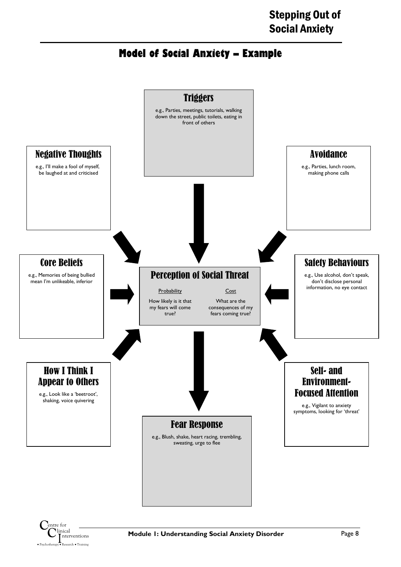## **Model of Social Anxiety – Example**



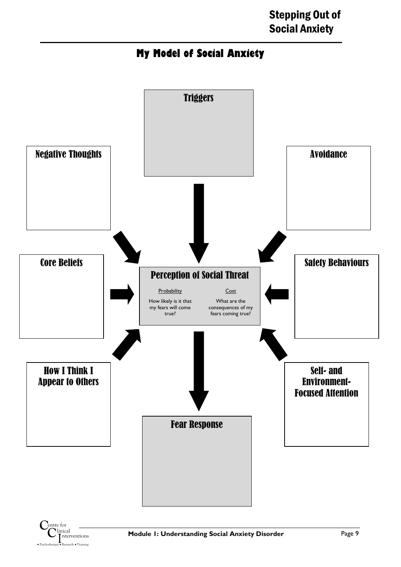## **My Model of Social Anxiety**



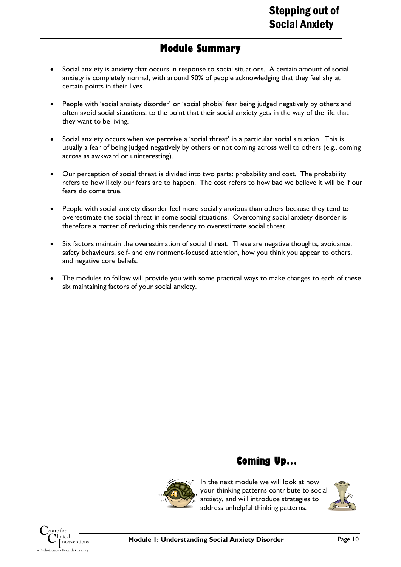### **Module Summary**

- Social anxiety is anxiety that occurs in response to social situations. A certain amount of social anxiety is completely normal, with around 90% of people acknowledging that they feel shy at certain points in their lives.
- People with 'social anxiety disorder' or 'social phobia' fear being judged negatively by others and often avoid social situations, to the point that their social anxiety gets in the way of the life that they want to be living.
- Social anxiety occurs when we perceive a 'social threat' in a particular social situation. This is usually a fear of being judged negatively by others or not coming across well to others (e.g., coming across as awkward or uninteresting).
- Our perception of social threat is divided into two parts: probability and cost. The probability refers to how likely our fears are to happen. The cost refers to how bad we believe it will be if our fears do come true.
- People with social anxiety disorder feel more socially anxious than others because they tend to overestimate the social threat in some social situations. Overcoming social anxiety disorder is therefore a matter of reducing this tendency to overestimate social threat.
- Six factors maintain the overestimation of social threat. These are negative thoughts, avoidance, safety behaviours, self- and environment-focused attention, how you think you appear to others, and negative core beliefs.
- The modules to follow will provide you with some practical ways to make changes to each of these six maintaining factors of your social anxiety.



**Coming Up…**

In the next module we will look at how your thinking patterns contribute to social anxiety, and will introduce strategies to address unhelpful thinking patterns.